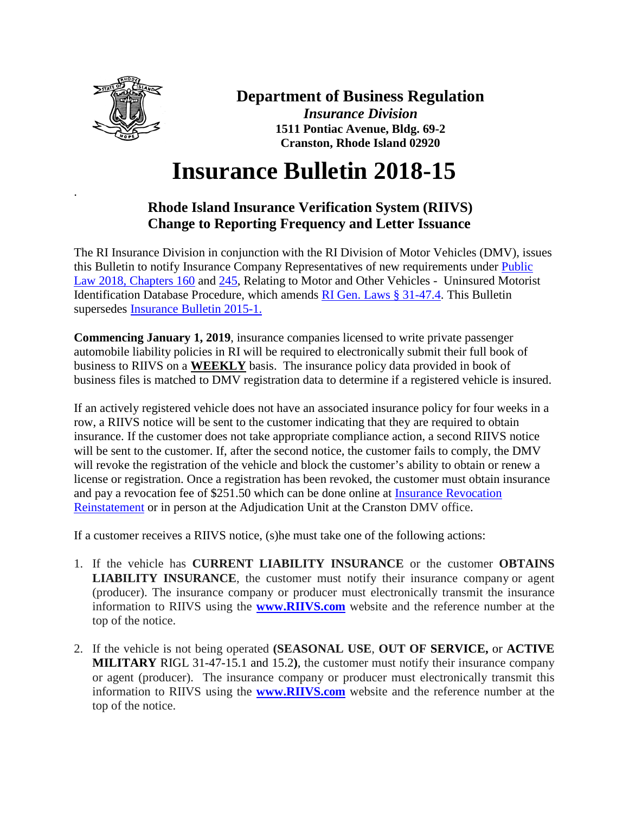

.

## **Department of Business Regulation**

*Insurance Division* **1511 Pontiac Avenue, Bldg. 69-2 Cranston, Rhode Island 02920**

## **Insurance Bulletin 2018-15**

## **Rhode Island Insurance Verification System (RIIVS) Change to Reporting Frequency and Letter Issuance**

The RI Insurance Division in conjunction with the RI Division of Motor Vehicles (DMV), issues this Bulletin to notify Insurance Company Representatives of new requirements under [Public](http://webserver.rilin.state.ri.us/PublicLaws/law18/law18160.htm)  [Law 2018, Chapters 160](http://webserver.rilin.state.ri.us/PublicLaws/law18/law18160.htm) and [245,](http://webserver.rilin.state.ri.us/PublicLaws/law18/law18245.htm) Relating to Motor and Other Vehicles - Uninsured Motorist Identification Database Procedure, which amends [RI Gen. Laws § 31-47.4.](http://webserver.rilin.state.ri.us/Statutes/TITLE31/31-47.4/INDEX.HTM) This Bulletin supersedes [Insurance Bulletin 2015-1.](http://www.dbr.ri.gov/documents/news/insurance/InsuranceBulletin2015-1.pdf)

**Commencing January 1, 2019**, insurance companies licensed to write private passenger automobile liability policies in RI will be required to electronically submit their full book of business to RIIVS on a **WEEKLY** basis. The insurance policy data provided in book of business files is matched to DMV registration data to determine if a registered vehicle is insured.

If an actively registered vehicle does not have an associated insurance policy for four weeks in a row, a RIIVS notice will be sent to the customer indicating that they are required to obtain insurance. If the customer does not take appropriate compliance action, a second RIIVS notice will be sent to the customer. If, after the second notice, the customer fails to comply, the DMV will revoke the registration of the vehicle and block the customer's ability to obtain or renew a license or registration. Once a registration has been revoked, the customer must obtain insurance and pay a revocation fee of \$251.50 which can be done online at [Insurance Revocation](https://www.ri.gov/app/dmv/reinstatement/)  [Reinstatement](https://www.ri.gov/app/dmv/reinstatement/) or in person at the Adjudication Unit at the Cranston DMV office.

If a customer receives a RIIVS notice, (s)he must take one of the following actions:

- 1. If the vehicle has **CURRENT LIABILITY INSURANCE** or the customer **OBTAINS LIABILITY INSURANCE**, the customer must notify their insurance company or agent (producer). The insurance company or producer must electronically transmit the insurance information to RIIVS using the **[www.RIIVS.com](http://www.riivs.com/)** website and the reference number at the top of the notice.
- 2. If the vehicle is not being operated **(SEASONAL USE**, **OUT OF SERVICE,** or **ACTIVE MILITARY** RIGL 31-47-15.1 and 15.2**)**, the customer must notify their insurance company or agent (producer). The insurance company or producer must electronically transmit this information to RIIVS using the **[www.RIIVS.com](http://www.riivs.com/)** website and the reference number at the top of the notice.